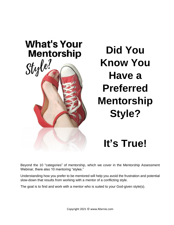

## **Did You Know You Have a Preferred Mentorship Style?**

## **It's True!**

Beyond the 10 "categories" of mentorship, which we cover in the Mentorship Assessment Webinar, there also 10 mentoring "styles."

Understanding how you prefer to be mentored will help you avoid the frustration and potential slow-down that results from working with a mentor of a conflicting style.

The goal is to find and work with a mentor who is suited to your God-given style(s).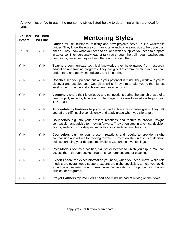Answer Yes or No to each the mentoring styles listed below to determine which are ideal for you.

| I've Had<br><b>Before</b> | l'd Think<br>l'd Like | <b>Mentoring Styles</b>                                                                                                                                                                                                                                                                                                                                                                            |
|---------------------------|-----------------------|----------------------------------------------------------------------------------------------------------------------------------------------------------------------------------------------------------------------------------------------------------------------------------------------------------------------------------------------------------------------------------------------------|
| Y/N                       | Y/N                   | Guides for life, business, ministry and new projects serve us like wilderness<br>guides. They know the route you plan to take and come alongside to help you plan<br>ahead. They know what you need to do, and which supplies you need to prepare<br>in advance. They personally lead or talk you through the trail, rough patches and<br>best views, because they've been there and studied that. |
| Y/N                       | $\overline{Y/N}$      | Teachers communicate technical knowledge they have gained from research,<br>education and training programs. They are gifted at communicating in a you can<br>understand and apply, immediately and long term.                                                                                                                                                                                     |
| $\overline{Y/N}$          | Y/N                   | Coaches see your present, but with your potential in mind. They work with you to<br>discover and develop your God-given skills. They aim to take you to the highest<br>level of performance and achievement possible for you.                                                                                                                                                                      |
| $\overline{Y/N}$          | Y/N                   | Launchers share their knowledge and connections during the launch phase of a<br>new project, ministry, business or life stage. They are focused on helping you<br>TAKE OFF.                                                                                                                                                                                                                        |
| $\overline{Y/N}$          | Y/N                   | Accountability Partners help you set and achieve reasonable goals. They talk<br>you off the cliff, inspire consistency and apply grace when you slip or fall.                                                                                                                                                                                                                                      |
| Y/N                       | $\overline{Y/N}$      | <b>Counselors</b> dig into your present reactions and results to provide insight,<br>compassion and advice for moving forward. They often step in at critical decision<br>points, surfacing your deepest motivations vs. surface level feelings.                                                                                                                                                   |
| Y/N                       | Y/N                   | <b>Counselors</b> dig into your present reactions and results to provide insight,<br>compassion and advice for moving forward. They often step in at critical decision<br>points, surfacing your deepest motivations vs. surface level feelings.                                                                                                                                                   |
| Y/N                       | $\overline{Y/N}$      | Role Models occupy a position, skill set or lifestyle to which you aspire. You can<br>access them through books, programs, conferences and/or coaching.                                                                                                                                                                                                                                            |
| Y/N                       | Y/N                   | <b>Experts</b> share the exact information you need, when you need know. While role<br>models are overall good support, experts are niche specialists to help you tackle<br>a particular problem through one-on-one conversations, group coaching, books,<br>articles, or programs.                                                                                                                |
| Y/N                       | Y/N                   | <b>Prayer Partners</b> tap into God's heart and mind instead of relying on their own.                                                                                                                                                                                                                                                                                                              |